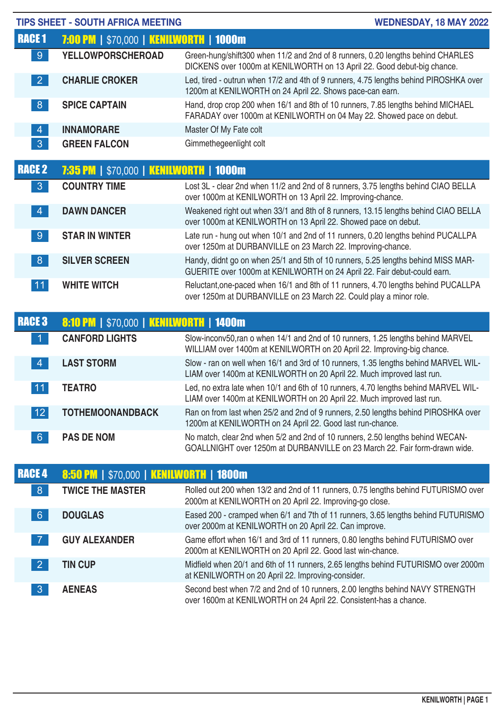|                 | <b>TIPS SHEET - SOUTH AFRICA MEETING</b>       | <b>WEDNESDAY, 18 MAY 2022</b>                                                                                                                                |
|-----------------|------------------------------------------------|--------------------------------------------------------------------------------------------------------------------------------------------------------------|
| <b>RACE 1</b>   | <b>7:00 PM   \$70,000   KENILWORTH   1000m</b> |                                                                                                                                                              |
| 9 <sup>°</sup>  | <b>YELLOWPORSCHEROAD</b>                       | Green-hung/shift300 when 11/2 and 2nd of 8 runners, 0.20 lengths behind CHARLES<br>DICKENS over 1000m at KENILWORTH on 13 April 22. Good debut-big chance.   |
| $\vert 2 \vert$ | <b>CHARLIE CROKER</b>                          | Led, tired - outrun when 17/2 and 4th of 9 runners, 4.75 lengths behind PIROSHKA over<br>1200m at KENILWORTH on 24 April 22. Shows pace-can earn.            |
| 8 <sup>°</sup>  | <b>SPICE CAPTAIN</b>                           | Hand, drop crop 200 when 16/1 and 8th of 10 runners, 7.85 lengths behind MICHAEL<br>FARADAY over 1000m at KENILWORTH on 04 May 22. Showed pace on debut.     |
| $\overline{4}$  | <b>INNAMORARE</b>                              | Master Of My Fate colt                                                                                                                                       |
| 3 <sup>°</sup>  | <b>GREEN FALCON</b>                            | Gimmethegeenlight colt                                                                                                                                       |
| <b>RACE 2</b>   | <b>7:35 PM   \$70,000   KENILWORTH   1000m</b> |                                                                                                                                                              |
| 3 <sup>°</sup>  | <b>COUNTRY TIME</b>                            | Lost 3L - clear 2nd when 11/2 and 2nd of 8 runners, 3.75 lengths behind CIAO BELLA<br>over 1000m at KENILWORTH on 13 April 22. Improving-chance.             |
| $\vert 4 \vert$ | <b>DAWN DANCER</b>                             | Weakened right out when 33/1 and 8th of 8 runners, 13.15 lengths behind CIAO BELLA<br>over 1000m at KENILWORTH on 13 April 22. Showed pace on debut.         |
| 9 <sup>°</sup>  | <b>STAR IN WINTER</b>                          | Late run - hung out when 10/1 and 2nd of 11 runners, 0.20 lengths behind PUCALLPA<br>over 1250m at DURBANVILLE on 23 March 22. Improving-chance.             |
| 8 <sup>°</sup>  | <b>SILVER SCREEN</b>                           | Handy, didnt go on when 25/1 and 5th of 10 runners, 5.25 lengths behind MISS MAR-<br>GUERITE over 1000m at KENILWORTH on 24 April 22. Fair debut-could earn. |
| 11              | <b>WHITE WITCH</b>                             | Reluctant, one-paced when 16/1 and 8th of 11 runners, 4.70 lengths behind PUCALLPA<br>over 1250m at DURBANVILLE on 23 March 22. Could play a minor role.     |
| <b>RACE 3</b>   | <b>8:10 PM   \$70,000   KENILWORTH   1400m</b> |                                                                                                                                                              |
|                 | <b>CANFORD LIGHTS</b>                          | Slow-inconv50, ran o when 14/1 and 2nd of 10 runners, 1.25 lengths behind MARVEL<br>WILLIAM over 1400m at KENILWORTH on 20 April 22. Improving-big chance.   |
| $\overline{4}$  | <b>LAST STORM</b>                              | Slow - ran on well when 16/1 and 3rd of 10 runners, 1.35 lengths behind MARVEL WIL-<br>LIAM over 1400m at KENILWORTH on 20 April 22. Much improved last run. |
| $\overline{11}$ | <b>TEATRO</b>                                  | Led, no extra late when 10/1 and 6th of 10 runners, 4.70 lengths behind MARVEL WIL-<br>LIAM over 1400m at KENILWORTH on 20 April 22. Much improved last run. |
| 12              | <b>TOTHEMOONANDBACK</b>                        | Ran on from last when 25/2 and 2nd of 9 runners, 2.50 lengths behind PIROSHKA over<br>1200m at KENILWORTH on 24 April 22. Good last run-chance.              |
| 6 <sup>°</sup>  | <b>PAS DE NOM</b>                              | No match, clear 2nd when 5/2 and 2nd of 10 runners, 2.50 lengths behind WECAN-<br>GOALLNIGHT over 1250m at DURBANVILLE on 23 March 22. Fair form-drawn wide. |
| <b>RACE 4</b>   | <b>8:50 PM   \$70,000   KENILWORTH   1800m</b> |                                                                                                                                                              |
| 8 <sup>°</sup>  | <b>TWICE THE MASTER</b>                        | Rolled out 200 when 13/2 and 2nd of 11 runners, 0.75 lengths behind FUTURISMO over<br>2000m at KENILWORTH on 20 April 22. Improving-go close.                |
| $6 \frac{1}{2}$ | <b>DOUGLAS</b>                                 | Eased 200 - cramped when 6/1 and 7th of 11 runners, 3.65 lengths behind FUTURISMO<br>over 2000m at KENILWORTH on 20 April 22. Can improve.                   |
| $\overline{7}$  | <b>GUY ALEXANDER</b>                           | Game effort when 16/1 and 3rd of 11 runners, 0.80 lengths behind FUTURISMO over<br>2000m at KENILWORTH on 20 April 22. Good last win-chance.                 |
| $\vert$ 2       | <b>TIN CUP</b>                                 | Midfield when 20/1 and 6th of 11 runners, 2.65 lengths behind FUTURISMO over 2000m<br>at KENILWORTH on 20 April 22. Improving-consider.                      |
| $\mathbf{3}$    | <b>AENEAS</b>                                  | Second best when 7/2 and 2nd of 10 runners, 2.00 lengths behind NAVY STRENGTH<br>over 1600m at KENILWORTH on 24 April 22. Consistent-has a chance.           |